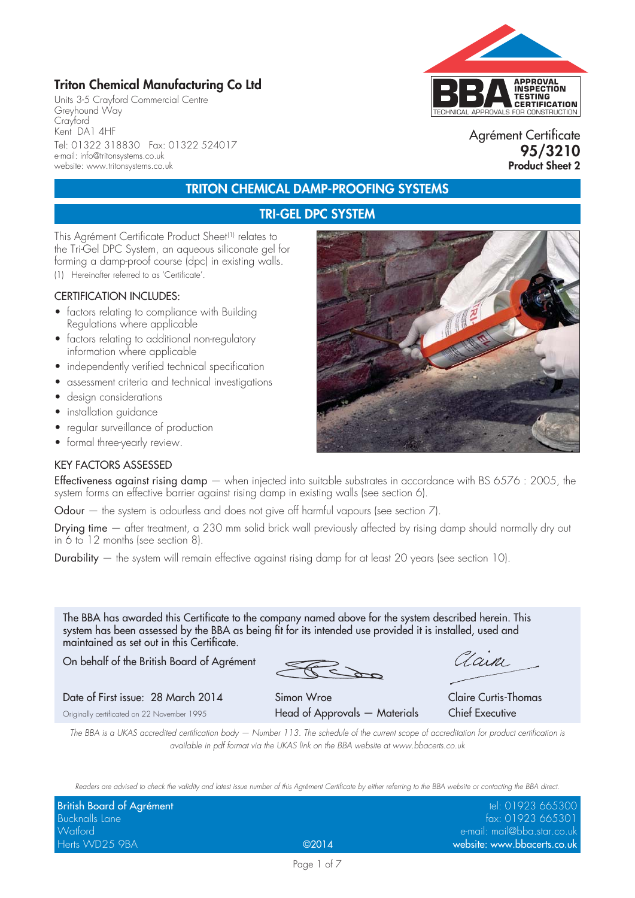## **Triton Chemical Manufacturing Co Ltd**

Units 3-5 Crayford Commercial Centre Greyhound Way Crayford Kent DA1 4HF Tel: 01322 318830 Fax: 01322 524017 e-mail: info@tritonsystems.co.uk website: www.tritonsystems.co.uk



Agrément Certificate **95/3210 Product Sheet 2**

## **TRITON CHEMICAL DAMP-PROOFING SYSTEMS**

## **TRI-GEL DPC SYSTEM**

This Agrément Certificate Product Sheet<sup>(1)</sup> relates to the Tri-Gel DPC System, an aqueous siliconate gel for forming a damp-proof course (dpc) in existing walls.

(1) Hereinafter referred to as 'Certificate'.

#### CERTIFICATION INCLUDES:

- factors relating to compliance with Building Regulations where applicable
- factors relating to additional non-regulatory information where applicable
- independently verified technical specification
- assessment criteria and technical investigations
- design considerations
- installation guidance
- regular surveillance of production
- formal three-yearly review.

#### KEY FACTORS ASSESSED

Effectiveness against rising damp - when injected into suitable substrates in accordance with BS 6576 : 2005, the system forms an effective barrier against rising damp in existing walls (see section 6).

Odour – the system is odourless and does not give off harmful vapours (see section 7).

Drying time — after treatment, a 230 mm solid brick wall previously affected by rising damp should normally dry out in 6 to 12 months (see section 8).

Durability — the system will remain effective against rising damp for at least 20 years (see section 10).

The BBA has awarded this Certificate to the company named above for the system described herein. This system has been assessed by the BBA as being fit for its intended use provided it is installed, used and maintained as set out in this Certificate.

On behalf of the British Board of Agrément

Zain

Date of First issue: 28 March 2014 Simon Wroe Claire Curtis-Thomas

Originally certificated on 22 November 1995 **Head of Approvals —** 

| Materials |  | <b>Chief Executive</b> |  |  |  |  |
|-----------|--|------------------------|--|--|--|--|
|           |  |                        |  |  |  |  |

*The BBA is a UKAS accredited certification body — Number 113. The schedule of the current scope of accreditation for product certification is available in pdf format via the UKAS link on the BBA website at www.bbacerts.co.uk*

*Readers are advised to check the validity and latest issue number of this Agrément Certificate by either referring to the BBA website or contacting the BBA direct.*

| British Board of Agrément |       | tel: 01923 665300           |
|---------------------------|-------|-----------------------------|
| <b>Bucknalls Lane</b>     |       | fax: 01923 665301           |
| Watford                   |       | e-mail: mail@bba.star.co.uk |
| Herts WD25 9BA            | @2014 | website: www.bbacerts.co.uk |

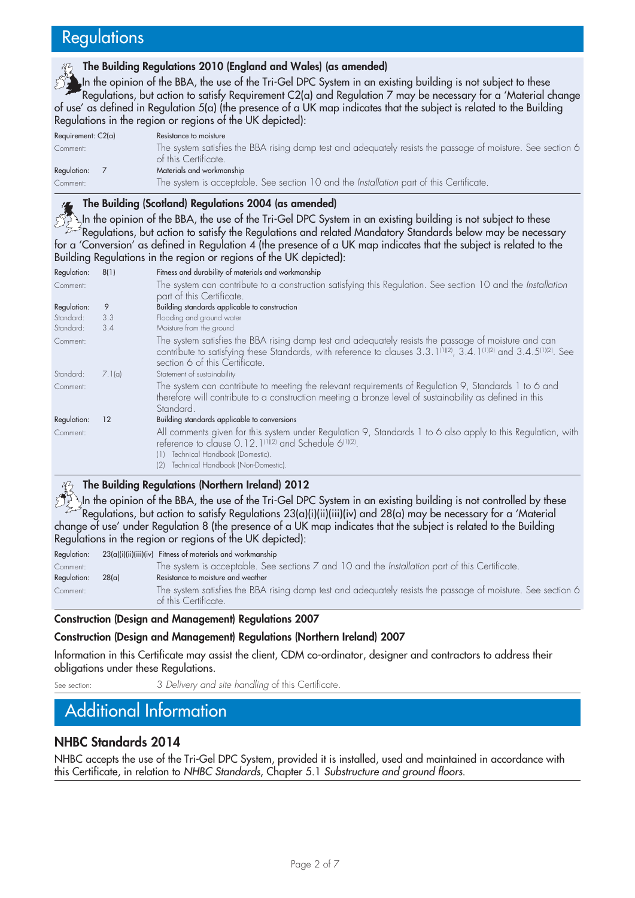# **Regulations**

#### **The Building Regulations 2010 (England and Wales) (as amended)**

In the opinion of the BBA, the use of the Tri-Gel DPC System in an existing building is not subject to these Regulations, but action to satisfy Requirement C2(a) and Regulation 7 may be necessary for a 'Material change of use' as defined in Regulation 5(a) (the presence of a UK map indicates that the subject is related to the Building Regulations in the region or regions of the UK depicted):

| Requirement: $C2(a)$ | Resistance to moisture                                                                                                              |
|----------------------|-------------------------------------------------------------------------------------------------------------------------------------|
| Comment:             | The system satisfies the BBA rising damp test and adequately resists the passage of moisture. See section 6<br>of this Certificate. |
| Regulation:          | Materials and workmanship                                                                                                           |
| Comment:             | The system is acceptable. See section 10 and the Installation part of this Certificate.                                             |

#### **The Building (Scotland) Regulations 2004 (as amended)**

In the opinion of the BBA, the use of the Tri-Gel DPC System in an existing building is not subject to these Regulations, but action to satisfy the Regulations and related Mandatory Standards below may be necessary for a 'Conversion' as defined in Regulation 4 (the presence of a UK map indicates that the subject is related to the Building Regulations in the region or regions of the UK depicted):

| Regulation: | 8(1)   | Fitness and durability of materials and workmanship                                                                                                                                                                                                                               |
|-------------|--------|-----------------------------------------------------------------------------------------------------------------------------------------------------------------------------------------------------------------------------------------------------------------------------------|
| Comment:    |        | The system can contribute to a construction satisfying this Regulation. See section 10 and the Installation<br>part of this Certificate.                                                                                                                                          |
| Regulation: | 9      | Building standards applicable to construction                                                                                                                                                                                                                                     |
| Standard:   | 3.3    | Flooding and ground water                                                                                                                                                                                                                                                         |
| Standard:   | 3.4    | Moisture from the ground                                                                                                                                                                                                                                                          |
| Comment:    |        | The system satisfies the BBA rising damp test and adequately resists the passage of moisture and can<br>contribute to satisfying these Standards, with reference to clauses 3.3.1(1)(2), 3.4.1(1)(2) and 3.4.5(1)(2). See<br>section 6 of this Certificate.                       |
| Standard:   | 7.1(a) | Statement of sustainability                                                                                                                                                                                                                                                       |
| Comment:    |        | The system can contribute to meeting the relevant requirements of Regulation 9, Standards 1 to 6 and<br>therefore will contribute to a construction meeting a bronze level of sustainability as defined in this<br>Standard.                                                      |
| Regulation: | 12     | Building standards applicable to conversions                                                                                                                                                                                                                                      |
| Comment:    |        | All comments given for this system under Regulation 9, Standards 1 to 6 also apply to this Regulation, with<br>reference to clause 0.12.1 <sup>(1)(2)</sup> and Schedule 6 <sup>(1)(2)</sup> .<br>(1) Technical Handbook (Domestic).<br>Technical Handbook (Non-Domestic).<br>(2) |

#### **The Building Regulations (Northern Ireland) 2012**

 $\lambda$ h the opinion of the BBA, the use of the Tri-Gel DPC System in an existing building is not controlled by these  $^{\circ}$ Regulations, but action to satisfy Regulations 23(a)(i)(ii)(iii)(iv) and 28(a) may be necessary for a 'Material change of use' under Regulation 8 (the presence of a UK map indicates that the subject is related to the Building Regulations in the region or regions of the UK depicted):

Regulation: 23(a)(i)(ii)(iii)(iv) Fitness of materials and workmanship

|             | , ,,,,,,,,,,, |                                                                                                                                     |
|-------------|---------------|-------------------------------------------------------------------------------------------------------------------------------------|
| Comment:    |               | The system is acceptable. See sections 7 and 10 and the Installation part of this Certificate.                                      |
| Regulation: | 28(a)         | Resistance to moisture and weather                                                                                                  |
| Comment:    |               | The system satisfies the BBA rising damp test and adequately resists the passage of moisture. See section 6<br>of this Certificate. |
|             |               |                                                                                                                                     |

#### **Construction (Design and Management) Regulations 2007**

#### **Construction (Design and Management) Regulations (Northern Ireland) 2007**

Information in this Certificate may assist the client, CDM co-ordinator, designer and contractors to address their obligations under these Regulations.

See section: 3 *Delivery and site handling* of this Certificate.

# Additional Information

### **NHBC Standards 2014**

NHBC accepts the use of the Tri-Gel DPC System, provided it is installed, used and maintained in accordance with this Certificate, in relation to *NHBC Standards*, Chapter 5.1 *Substructure and ground floors*.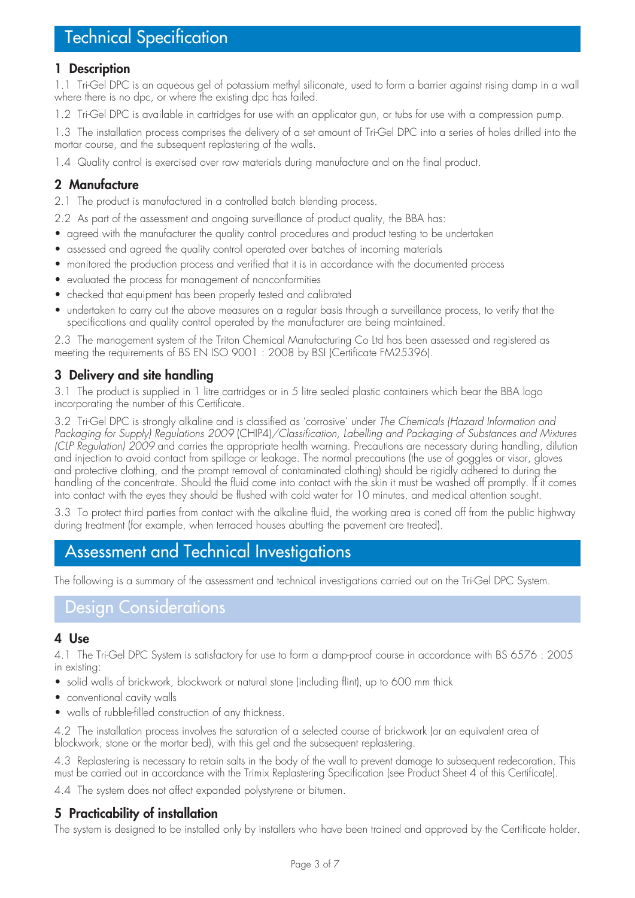### **1 Description**

1.1 Tri-Gel DPC is an aqueous gel of potassium methyl siliconate, used to form a barrier against rising damp in a wall where there is no dpc, or where the existing dpc has failed.

1.2 Tri-Gel DPC is available in cartridges for use with an applicator gun, or tubs for use with a compression pump.

1.3 The installation process comprises the delivery of a set amount of Tri-Gel DPC into a series of holes drilled into the mortar course, and the subsequent replastering of the walls.

1.4 Quality control is exercised over raw materials during manufacture and on the final product.

### **2 Manufacture**

2.1 The product is manufactured in a controlled batch blending process.

- 2.2 As part of the assessment and ongoing surveillance of product quality, the BBA has:
- agreed with the manufacturer the quality control procedures and product testing to be undertaken
- assessed and agreed the quality control operated over batches of incoming materials
- monitored the production process and verified that it is in accordance with the documented process
- evaluated the process for management of nonconformities
- checked that equipment has been properly tested and calibrated
- undertaken to carry out the above measures on a regular basis through a surveillance process, to verify that the specifications and quality control operated by the manufacturer are being maintained.

2.3 The management system of the Triton Chemical Manufacturing Co Ltd has been assessed and registered as meeting the requirements of BS EN ISO 9001 : 2008 by BSI (Certificate FM25396).

### **3 Delivery and site handling**

3.1 The product is supplied in 1 litre cartridges or in 5 litre sealed plastic containers which bear the BBA logo incorporating the number of this Certificate.

3.2 Tri-Gel DPC is strongly alkaline and is classified as 'corrosive' under *The Chemicals (Hazard Information and Packaging for Supply) Regulations 2009* (CHIP4)*/Classification, Labelling and Packaging of Substances and Mixtures (CLP Regulation) 2009* and carries the appropriate health warning. Precautions are necessary during handling, dilution and injection to avoid contact from spillage or leakage. The normal precautions (the use of goggles or visor, gloves and protective clothing, and the prompt removal of contaminated clothing) should be rigidly adhered to during the handling of the concentrate. Should the fluid come into contact with the skin it must be washed off promptly. If it comes into contact with the eyes they should be flushed with cold water for 10 minutes, and medical attention sought.

3.3 To protect third parties from contact with the alkaline fluid, the working area is coned off from the public highway during treatment (for example, when terraced houses abutting the pavement are treated).

# Assessment and Technical Investigations

The following is a summary of the assessment and technical investigations carried out on the Tri-Gel DPC System.

# Design Considerations

#### **4 Use**

4.1 The Tri-Gel DPC System is satisfactory for use to form a damp-proof course in accordance with BS 6576 : 2005 in existing:

- solid walls of brickwork, blockwork or natural stone (including flint), up to 600 mm thick
- conventional cavity walls
- walls of rubble-filled construction of any thickness.

4.2 The installation process involves the saturation of a selected course of brickwork (or an equivalent area of blockwork, stone or the mortar bed), with this gel and the subsequent replastering.

4.3 Replastering is necessary to retain salts in the body of the wall to prevent damage to subsequent redecoration. This must be carried out in accordance with the Trimix Replastering Specification (see Product Sheet 4 of this Certificate).

4.4 The system does not affect expanded polystyrene or bitumen.

# **5 Practicability of installation**

The system is designed to be installed only by installers who have been trained and approved by the Certificate holder.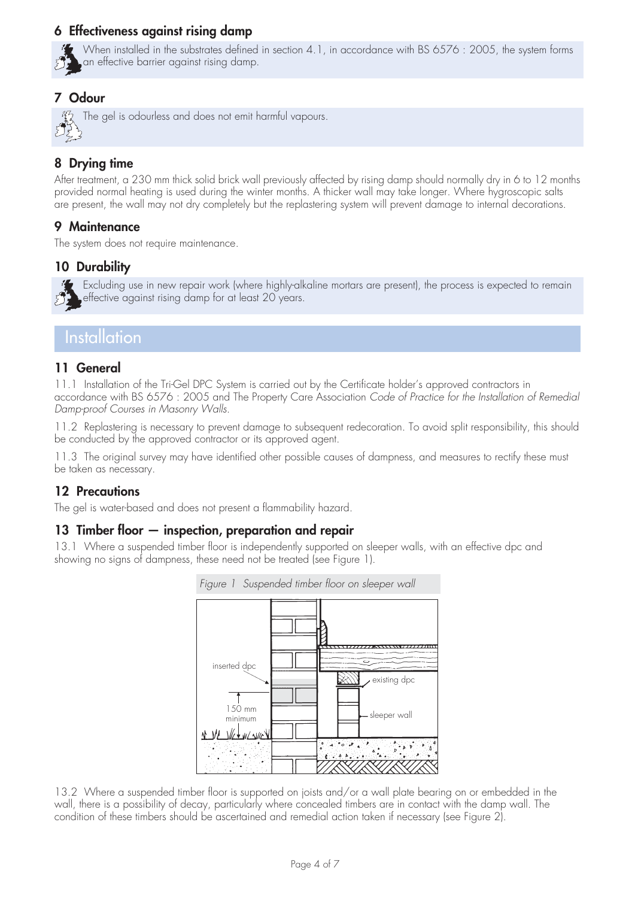## **6 Effectiveness against rising damp**



When installed in the substrates defined in section 4.1, in accordance with BS 6576 : 2005, the system forms an effective barrier against rising damp.

## **7 Odour**

The gel is odourless and does not emit harmful vapours.

# **8 Drying time**

After treatment, a 230 mm thick solid brick wall previously affected by rising damp should normally dry in 6 to 12 months provided normal heating is used during the winter months. A thicker wall may take longer. Where hygroscopic salts are present, the wall may not dry completely but the replastering system will prevent damage to internal decorations.

## **9 Maintenance**

The system does not require maintenance.

# **10 Durability**



# **Installation**

### **11 General**

11.1 Installation of the Tri-Gel DPC System is carried out by the Certificate holder's approved contractors in accordance with BS 6576 : 2005 and The Property Care Association *Code of Practice for the Installation of Remedial Damp-proof Courses in Masonry Walls*.

11.2 Replastering is necessary to prevent damage to subsequent redecoration. To avoid split responsibility, this should be conducted by the approved contractor or its approved agent.

11.3 The original survey may have identified other possible causes of dampness, and measures to rectify these must be taken as necessary.

### **12 Precautions**

The gel is water-based and does not present a flammability hazard.

# **13 Timber floor — inspection, preparation and repair**

13.1 Where a suspended timber floor is independently supported on sleeper walls, with an effective dpc and showing no signs of dampness, these need not be treated (see Figure 1).



13.2 Where a suspended timber floor is supported on joists and/or a wall plate bearing on or embedded in the wall, there is a possibility of decay, particularly where concealed timbers are in contact with the damp wall. The condition of these timbers should be ascertained and remedial action taken if necessary (see Figure 2).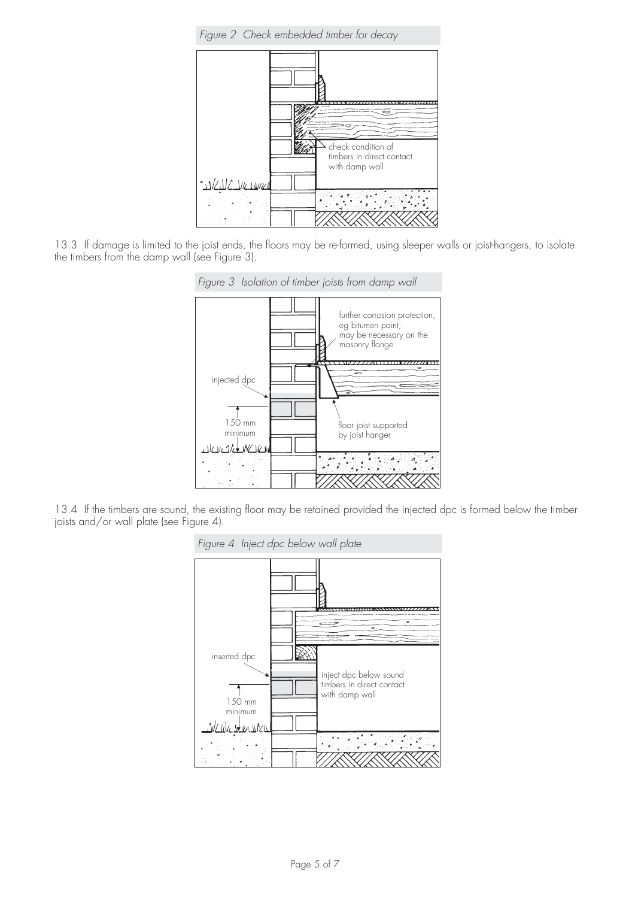*Figure 2 Check embedded timber for decay*



13.3 If damage is limited to the joist ends, the floors may be re-formed, using sleeper walls or joist-hangers, to isolate the timbers from the damp wall (see Figure 3).



13.4 If the timbers are sound, the existing floor may be retained provided the injected dpc is formed below the timber joists and/or wall plate (see Figure 4).

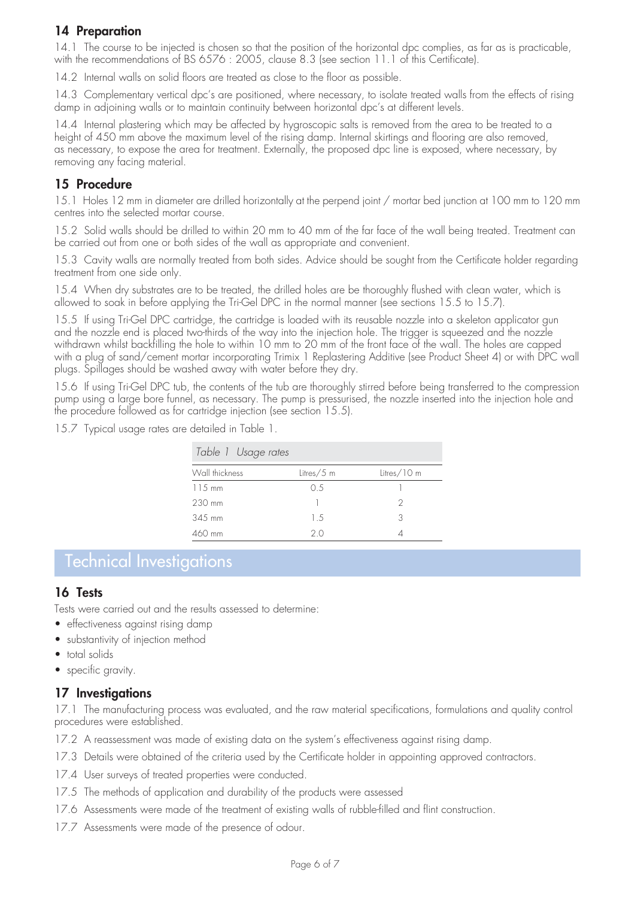# **14 Preparation**

14.1 The course to be injected is chosen so that the position of the horizontal dpc complies, as far as is practicable, with the recommendations of BS 6576 : 2005, clause 8.3 (see section 11.1 of this Certificate).

14.2 Internal walls on solid floors are treated as close to the floor as possible.

14.3 Complementary vertical dpc's are positioned, where necessary, to isolate treated walls from the effects of rising damp in adjoining walls or to maintain continuity between horizontal dpc's at different levels.

14.4 Internal plastering which may be affected by hygroscopic salts is removed from the area to be treated to a height of 450 mm above the maximum level of the rising damp. Internal skirtings and flooring are also removed, as necessary, to expose the area for treatment. Externally, the proposed dpc line is exposed, where necessary, by removing any facing material.

#### **15 Procedure**

15.1 Holes 12 mm in diameter are drilled horizontally at the perpend joint / mortar bed junction at 100 mm to 120 mm centres into the selected mortar course.

15.2 Solid walls should be drilled to within 20 mm to 40 mm of the far face of the wall being treated. Treatment can be carried out from one or both sides of the wall as appropriate and convenient.

15.3 Cavity walls are normally treated from both sides. Advice should be sought from the Certificate holder regarding treatment from one side only.

15.4 When dry substrates are to be treated, the drilled holes are be thoroughly flushed with clean water, which is allowed to soak in before applying the Tri-Gel DPC in the normal manner (see sections 15.5 to 15.7).

15.5 If using Tri-Gel DPC cartridge, the cartridge is loaded with its reusable nozzle into a skeleton applicator gun and the nozzle end is placed two-thirds of the way into the injection hole. The trigger is squeezed and the nozzle withdrawn whilst backfilling the hole to within 10 mm to 20 mm of the front face of the wall. The holes are capped with a plug of sand/cement mortar incorporating Trimix 1 Replastering Additive (see Product Sheet 4) or with DPC wall plugs. Spillages should be washed away with water before they dry.

15.6 If using Tri-Gel DPC tub, the contents of the tub are thoroughly stirred before being transferred to the compression pump using a large bore funnel, as necessary. The pump is pressurised, the nozzle inserted into the injection hole and the procedure followed as for cartridge injection (see section 15.5).

15.7 Typical usage rates are detailed in Table 1.

| Table 1 Usage rates |              |             |  |  |
|---------------------|--------------|-------------|--|--|
| Wall thickness      | Litres/ $5m$ | Litres/10 m |  |  |
| $115$ mm            | 0.5          |             |  |  |
| 230 mm              |              |             |  |  |
| 345 mm              | 1.5          | 3           |  |  |
| $460$ mm            | 2 O          |             |  |  |

# Technical Investigations

#### **16 Tests**

Tests were carried out and the results assessed to determine:

- effectiveness against rising damp
- substantivity of injection method
- total solids
- specific gravity.

#### **17 Investigations**

17.1 The manufacturing process was evaluated, and the raw material specifications, formulations and quality control procedures were established.

- 17.2 A reassessment was made of existing data on the system's effectiveness against rising damp.
- 17.3 Details were obtained of the criteria used by the Certificate holder in appointing approved contractors.
- 17.4 User surveys of treated properties were conducted.
- 17.5 The methods of application and durability of the products were assessed
- 17.6 Assessments were made of the treatment of existing walls of rubble-filled and flint construction.
- 17.7 Assessments were made of the presence of odour.